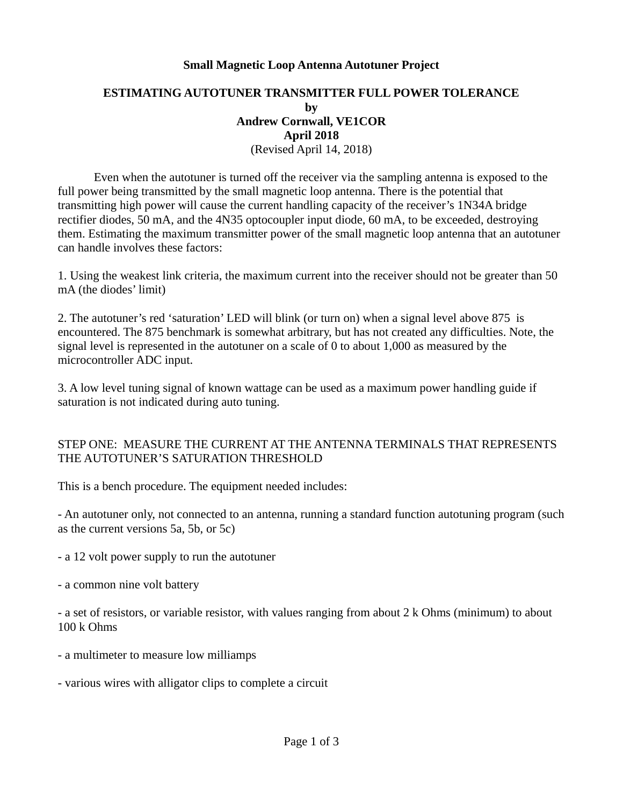## **Small Magnetic Loop Antenna Autotuner Project**

## **ESTIMATING AUTOTUNER TRANSMITTER FULL POWER TOLERANCE by Andrew Cornwall, VE1COR April 2018** (Revised April 14, 2018)

Even when the autotuner is turned off the receiver via the sampling antenna is exposed to the full power being transmitted by the small magnetic loop antenna. There is the potential that transmitting high power will cause the current handling capacity of the receiver's 1N34A bridge rectifier diodes, 50 mA, and the 4N35 optocoupler input diode, 60 mA, to be exceeded, destroying them. Estimating the maximum transmitter power of the small magnetic loop antenna that an autotuner can handle involves these factors:

1. Using the weakest link criteria, the maximum current into the receiver should not be greater than 50 mA (the diodes' limit)

2. The autotuner's red 'saturation' LED will blink (or turn on) when a signal level above 875 is encountered. The 875 benchmark is somewhat arbitrary, but has not created any difficulties. Note, the signal level is represented in the autotuner on a scale of 0 to about 1,000 as measured by the microcontroller ADC input.

3. A low level tuning signal of known wattage can be used as a maximum power handling guide if saturation is not indicated during auto tuning.

## STEP ONE: MEASURE THE CURRENT AT THE ANTENNA TERMINALS THAT REPRESENTS THE AUTOTUNER'S SATURATION THRESHOLD

This is a bench procedure. The equipment needed includes:

- An autotuner only, not connected to an antenna, running a standard function autotuning program (such as the current versions 5a, 5b, or 5c)

- a 12 volt power supply to run the autotuner
- a common nine volt battery

- a set of resistors, or variable resistor, with values ranging from about 2 k Ohms (minimum) to about 100 k Ohms

- a multimeter to measure low milliamps
- various wires with alligator clips to complete a circuit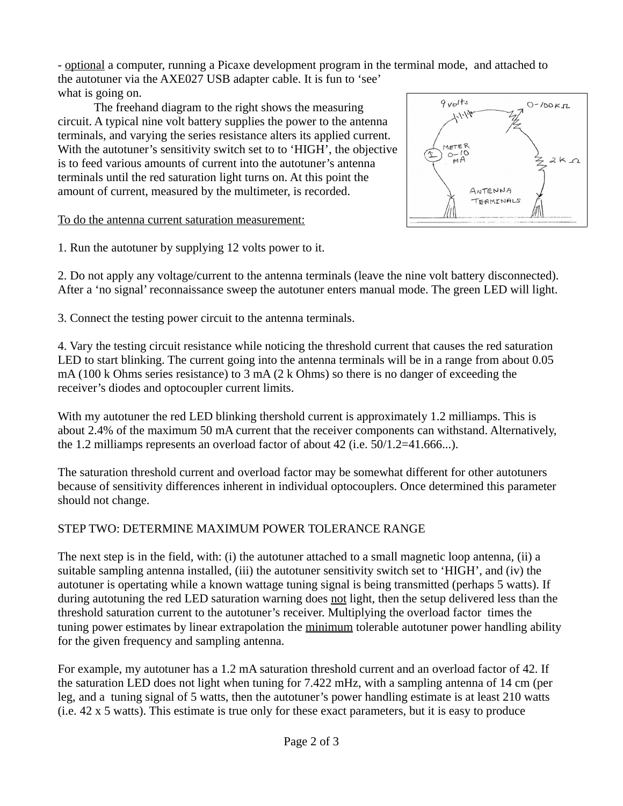- optional a computer, running a Picaxe development program in the terminal mode, and attached to the autotuner via the AXE027 USB adapter cable. It is fun to 'see'

what is going on. The freehand diagram to the right shows the measuring circuit. A typical nine volt battery supplies the power to the antenna terminals, and varying the series resistance alters its applied current. With the autotuner's sensitivity switch set to to 'HIGH', the objective is to feed various amounts of current into the autotuner's antenna terminals until the red saturation light turns on. At this point the amount of current, measured by the multimeter, is recorded.

To do the antenna current saturation measurement:

 $9$ *volts*  $O-100K\pi$  $1.1 - 1.4$ **NETER**  $O-HO$ <br> $O-MA$  $2K<sub>2</sub>$ ANTENNA TERMINALS

1. Run the autotuner by supplying 12 volts power to it.

2. Do not apply any voltage/current to the antenna terminals (leave the nine volt battery disconnected). After a 'no signal' reconnaissance sweep the autotuner enters manual mode. The green LED will light.

3. Connect the testing power circuit to the antenna terminals.

4. Vary the testing circuit resistance while noticing the threshold current that causes the red saturation LED to start blinking. The current going into the antenna terminals will be in a range from about 0.05 mA (100 k Ohms series resistance) to 3 mA (2 k Ohms) so there is no danger of exceeding the receiver's diodes and optocoupler current limits.

With my autotuner the red LED blinking thershold current is approximately 1.2 milliamps. This is about 2.4% of the maximum 50 mA current that the receiver components can withstand. Alternatively, the 1.2 milliamps represents an overload factor of about 42 (i.e. 50/1.2=41.666...).

The saturation threshold current and overload factor may be somewhat different for other autotuners because of sensitivity differences inherent in individual optocouplers. Once determined this parameter should not change.

## STEP TWO: DETERMINE MAXIMUM POWER TOLERANCE RANGE

The next step is in the field, with: (i) the autotuner attached to a small magnetic loop antenna, (ii) a suitable sampling antenna installed, (iii) the autotuner sensitivity switch set to 'HIGH', and (iv) the autotuner is opertating while a known wattage tuning signal is being transmitted (perhaps 5 watts). If during autotuning the red LED saturation warning does not light, then the setup delivered less than the threshold saturation current to the autotuner's receiver. Multiplying the overload factor times the tuning power estimates by linear extrapolation the minimum tolerable autotuner power handling ability for the given frequency and sampling antenna.

For example, my autotuner has a 1.2 mA saturation threshold current and an overload factor of 42. If the saturation LED does not light when tuning for 7.422 mHz, with a sampling antenna of 14 cm (per leg, and a tuning signal of 5 watts, then the autotuner's power handling estimate is at least 210 watts (i.e. 42 x 5 watts). This estimate is true only for these exact parameters, but it is easy to produce